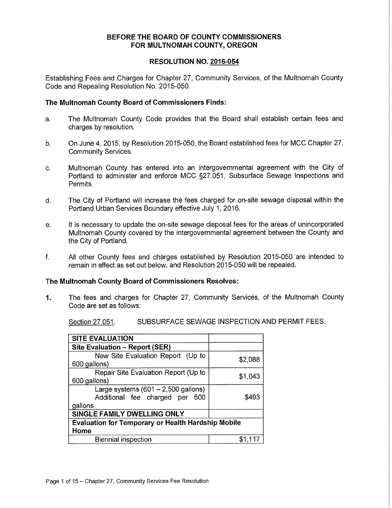# **BEFORE THE BOARD OF COUNTY COMMISSIONERS FOR MULTNOMAH COUNTY, OREGON**

# **RESOLUTION NO. 2016-054**

Establishing Fees and Charges for Chapter 27, Community Services, of the Multnomah County Code and Repealing Resolution No. 2015-050.

# **The Multnomah County Board of Commissioners Finds:**

- a. The Multnomah County Code provides that the Board shall establish certain fees and charges by resolution.
- b. On June 4, 2015, by Resolution 2015-050, the Board established fees for MCC Chapter 27, Community Services.
- c. Multnomah County has entered into an intergovernmental agreement with the City of Portland to administer and enforce MCC §27.051, Subsurface Sewage Inspections and Permits.
- d. The City of Portland will increase the fees charged for on-site sewage disposal within the Portland Urban Services Boundary effective July 1, 2016.
- e. It is necessary to update the on-site sewage disposal fees for the areas of unincorporated Multnomah County covered by the intergovernmental agreement between the County and the City of Portland.
- f. All other County fees and charges established by Resolution 2015-050 are intended to remain in effect as set out below, and Resolution 2015-050 will be repealed.

### **The Multnomah County Board of Commissioners Resolves:**

**1.** The fees and charges for Chapter 27, Community Services, of the Multnomah County Code are set as follows:

Section 27.051. SUBSURFACE SEWAGE INSPECTION AND PERMIT FEES.

| <b>SITE EVALUATION</b>                                    |         |
|-----------------------------------------------------------|---------|
| Site Evaluation - Report (SER)                            |         |
| New Site Evaluation Report (Up to                         | \$2,088 |
| 600 gallons)                                              |         |
| Repair Site Evaluation Report (Up to                      | \$1,043 |
| 600 gallons)                                              |         |
| Large systems $(601 – 2,500$ gallons)                     |         |
| Additional fee charged per 500                            | \$493   |
| gallons                                                   |         |
| SINGLE FAMILY DWELLING ONLY                               |         |
| <b>Evaluation for Temporary or Health Hardship Mobile</b> |         |
| Home                                                      |         |
| <b>Biennial inspection</b>                                | \$1,117 |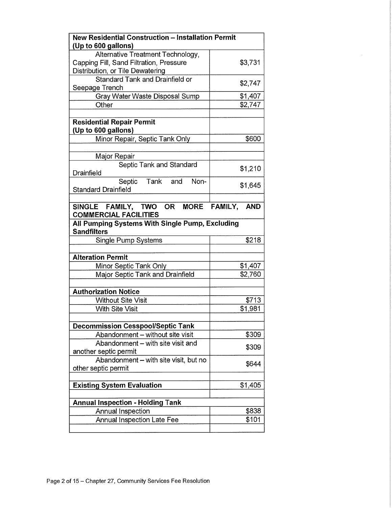| <b>New Residential Construction - Installation Permit</b>             |         |
|-----------------------------------------------------------------------|---------|
| (Up to 600 gallons)                                                   |         |
| Alternative Treatment Technology,                                     |         |
| Capping Fill, Sand Filtration, Pressure                               | \$3,731 |
| Distribution, or Tile Dewatering                                      |         |
| <b>Standard Tank and Drainfield or</b><br>Seepage Trench              | \$2,747 |
| Gray Water Waste Disposal Sump                                        | \$1,407 |
| Other                                                                 | \$2,747 |
|                                                                       |         |
| <b>Residential Repair Permit</b>                                      |         |
| (Up to 600 gallons)                                                   |         |
| Minor Repair, Septic Tank Only                                        | \$600   |
|                                                                       |         |
| Major Repair                                                          |         |
| Septic Tank and Standard<br>Drainfield                                | \$1,210 |
| Septic Tank and<br>Non-<br><b>Standard Drainfield</b>                 | \$1,645 |
|                                                                       |         |
| SINGLE FAMILY, TWO OR MORE FAMILY, AND                                |         |
| <b>COMMERCIAL FACILITIES</b>                                          |         |
| All Pumping Systems With Single Pump, Excluding<br><b>Sandfilters</b> |         |
|                                                                       |         |
|                                                                       |         |
| <b>Single Pump Systems</b>                                            | \$218   |
|                                                                       |         |
| <b>Alteration Permit</b>                                              |         |
| Minor Septic Tank Only                                                | \$1,407 |
| Major Septic Tank and Drainfield                                      | \$2,760 |
| <b>Authorization Notice</b>                                           |         |
| <b>Without Site Visit</b>                                             | \$713   |
| <b>With Site Visit</b>                                                | \$1,981 |
|                                                                       |         |
| <b>Decommission Cesspool/Septic Tank</b>                              |         |
| Abandonment - without site visit                                      | \$309   |
| Abandonment - with site visit and                                     |         |
| another septic permit                                                 | \$309   |
| Abandonment - with site visit, but no                                 |         |
| other septic permit                                                   | \$644   |
|                                                                       |         |
| <b>Existing System Evaluation</b>                                     | \$1,405 |
| <b>Annual Inspection - Holding Tank</b>                               |         |
| <b>Annual Inspection</b>                                              | \$838   |
| Annual Inspection Late Fee                                            | \$101   |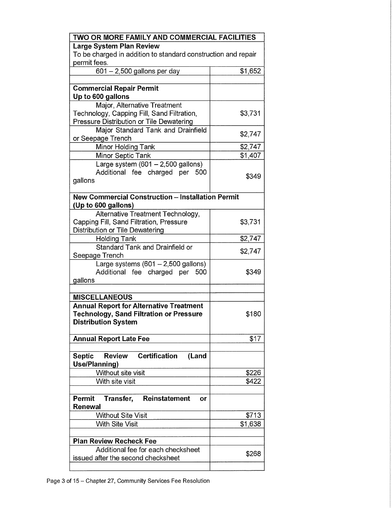| Large System Plan Review                                                 | TWO OR MORE FAMILY AND COMMERCIAL FACILITIES |
|--------------------------------------------------------------------------|----------------------------------------------|
|                                                                          |                                              |
| To be charged in addition to standard construction and repair            |                                              |
| permit fees.                                                             |                                              |
| 601 - 2,500 gallons per day                                              | \$1,652                                      |
|                                                                          |                                              |
| <b>Commercial Repair Permit</b>                                          |                                              |
| Up to 600 gallons                                                        |                                              |
| Major, Alternative Treatment                                             |                                              |
| Technology, Capping Fill, Sand Filtration,                               | \$3,731                                      |
| Pressure Distribution or Tile Dewatering                                 |                                              |
| Major Standard Tank and Drainfield                                       |                                              |
| or Seepage Trench                                                        | \$2,747                                      |
| Minor Holding Tank                                                       | \$2,747                                      |
|                                                                          | \$1,407                                      |
| Minor Septic Tank                                                        |                                              |
| Large system $(601 - 2,500$ gallons)                                     |                                              |
| Additional fee charged per 500                                           | \$349                                        |
| gallons                                                                  |                                              |
|                                                                          |                                              |
| <b>New Commercial Construction - Installation Permit</b>                 |                                              |
| (Up to 600 gallons)                                                      |                                              |
| Alternative Treatment Technology,                                        |                                              |
| Capping Fill, Sand Filtration, Pressure                                  | \$3,731                                      |
| Distribution or Tile Dewatering                                          |                                              |
| <b>Holding Tank</b>                                                      | \$2,747                                      |
| Standard Tank and Drainfield or                                          | \$2,747                                      |
| Seepage Trench                                                           |                                              |
| Large systems $(601 - 2,500$ gallons)                                    |                                              |
| Additional fee charged per<br>500                                        |                                              |
|                                                                          | \$349                                        |
| gallons                                                                  |                                              |
|                                                                          |                                              |
| <b>MISCELLANEOUS</b>                                                     |                                              |
| <b>Annual Report for Alternative Treatment</b>                           |                                              |
| <b>Technology, Sand Filtration or Pressure</b>                           | \$180                                        |
| <b>Distribution System</b>                                               |                                              |
|                                                                          |                                              |
| <b>Annual Report Late Fee</b>                                            | \$17                                         |
|                                                                          |                                              |
| <b>Certification</b><br><b>Septic</b><br><b>Review</b><br>(Land          |                                              |
| Use/Planning)                                                            |                                              |
| Without site visit                                                       | \$226                                        |
| With site visit                                                          | \$422                                        |
|                                                                          |                                              |
| Permit<br>Reinstatement<br>Transfer,<br>or                               |                                              |
| Renewal                                                                  |                                              |
| <b>Without Site Visit</b>                                                | \$713                                        |
|                                                                          |                                              |
| <b>With Site Visit</b>                                                   | \$1,638                                      |
|                                                                          |                                              |
| <b>Plan Review Recheck Fee</b>                                           |                                              |
| Additional fee for each checksheet<br>issued after the second checksheet | \$268                                        |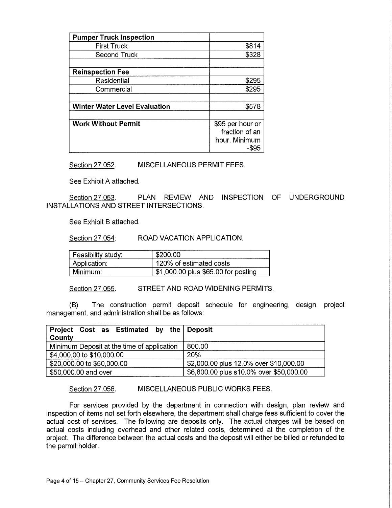| <b>Pumper Truck Inspection</b>       |                  |
|--------------------------------------|------------------|
| <b>First Truck</b>                   | \$814            |
| <b>Second Truck</b>                  | \$328            |
|                                      |                  |
| <b>Reinspection Fee</b>              |                  |
| Residential                          | \$295            |
| Commercial                           | \$295            |
|                                      |                  |
| <b>Winter Water Level Evaluation</b> | \$578            |
|                                      |                  |
| <b>Work Without Permit</b>           | \$95 per hour or |
|                                      | fraction of an   |
|                                      | hour, Minimum    |
|                                      | $-$ \$95         |

Section 27.052. MISCELLANEOUS PERMIT FEES.

See Exhibit A attached.

Section 27.053. PLAN REVIEW AND INSPECTION OF UNDERGROUND INSTALLATIONS AND STREET INTERSECTIONS.

See Exhibit B attached.

Section 27.054: ROAD VACATION APPLICATION.

| Feasibility study: | \$200.00                            |
|--------------------|-------------------------------------|
| Application:       | 120% of estimated costs             |
| Minimum:           | \$1,000.00 plus \$65.00 for posting |

Section 27.055. STREET AND ROAD WIDENING PERMITS.

(B) The construction permit deposit schedule for engineering, design, project management, and administration shall be as follows:

| Project Cost as Estimated by the Deposit   |                                         |
|--------------------------------------------|-----------------------------------------|
| County                                     |                                         |
| Minimum Deposit at the time of application | 800.00                                  |
| \$4,000.00 to \$10,000.00                  | <b>20%</b>                              |
| \$20,000.00 to \$50,000.00                 | \$2,000.00 plus 12.0% over \$10,000.00  |
| \$50,000.00 and over                       | \$6,800.00 plus s10.0% over \$50,000.00 |

Section 27.056. MISCELLANEOUS PUBLIC WORKS FEES.

For services provided by the department in connection with design, plan review and inspection of items not set forth elsewhere, the department shall charge fees sufficient to cover the actual cost of services. The following are deposits only. The actual charges will be based on actual costs including overhead and other related costs, determined at the completion of the project. The difference between the actual costs and the deposit will either be billed or refunded to the permit holder.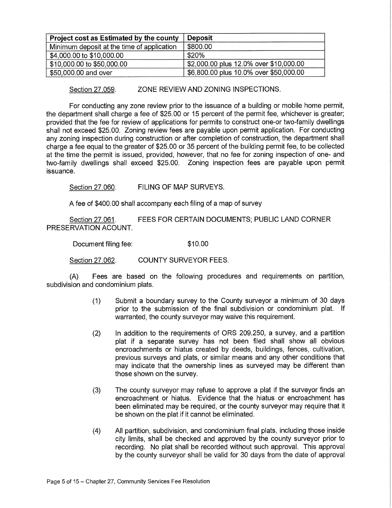| <b>Project cost as Estimated by the county</b> | <b>Deposit</b>                         |
|------------------------------------------------|----------------------------------------|
| Minimum deposit at the time of application     | \$800.00                               |
| \$4,000.00 to \$10,000.00                      | \$20%                                  |
| \$10,000.00 to \$50,000.00                     | \$2,000.00 plus 12.0% over \$10,000.00 |
| \$50,000.00 and over                           | \$6,800.00 plus 10.0% over \$50,000.00 |

Section 27.059. ZONE REVIEW AND ZONING INSPECTIONS.

For conducting any zone review prior to the issuance of a building or mobile home permit, the department shall charge a fee of \$25.00 or 15 percent of the permit fee, whichever is greater; provided that the fee for review of applications for permits to construct one-or two-family dwellings shall not exceed \$25.00. Zoning review fees are payable upon permit application. For conducting any zoning inspection during construction or after completion of construction, the department shall charge a fee equal to the greater of \$25.00 or 35 percent of the building permit fee, to be collected at the time the permit is issued, provided, however, that no fee for zoning inspection of one- and two-family dwellings shall exceed \$25.00. Zoning inspection fees are payable upon permit issuance.

Section 27.060. FILING OF MAP SURVEYS.

A fee of \$400.00 shall accompany each filing of a map of survey

Section 27.061. FEES FOR CERTAIN DOCUMENTS; PUBLIC LAND CORNER PRESERVATION ACOUNT.

Document filing fee: \$10.00

Section 27.062. COUNTY SURVEYOR FEES.

(A) Fees are based on the following procedures and requirements on partition, subdivision and condominium plats.

- (1) Submit a boundary survey to the County surveyor a minimum of 30 days prior to the submission of the final subdivision or condominium plat. If warranted, the county surveyor may waive this requirement.
- (2) In addition to the requirements of ORS 209.250, a survey, and a partition plat if a separate survey has not been filed shall show all obvious encroachments or hiatus created by deeds, buildings, fences, cultivation, previous surveys and plats, or similar means and any other conditions that may indicate that the ownership lines as surveyed may be different than those shown on the survey.
- (3) The county surveyor may refuse to approve a plat if the surveyor finds an encroachment or hiatus. Evidence that the hiatus or encroachment has been eliminated may be required, or the county surveyor may require that it be shown on the plat if it cannot be eliminated.
- (4) All partition, subdivision, and condominium final plats, including those inside city limits, shall be checked and approved by the county surveyor prior to recording. No plat shall be recorded without such approval. This approval by the county surveyor shall be valid for 30 days from the date of approval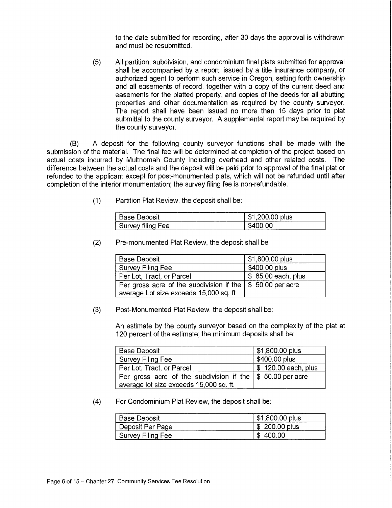to the date submitted for recording, after 30 days the approval is withdrawn and must be resubmitted.

(5) All partition, subdivision, and condominium final plats submitted for approval shall be accompanied by a report, issued by a title insurance company, or authorized agent to perform such service in Oregon, setting forth ownership and all easements of record, together with a copy of the current deed and easements for the platted property, and copies of the deeds for all abutting properties and other documentation as required by the county surveyor. The report shall have been issued no more than 15 days prior to plat submittal to the county surveyor. A supplemental report may be required by the county surveyor.

(B) A deposit for the following county surveyor functions shall be made with the submission of the material. The final fee will be determined at completion of the project based on actual costs incurred by Multnomah County including overhead and other related costs. The difference between the actual costs and the deposit will be paid prior to approval of the final plat or refunded to the applicant except for post-monumented plats, which will not be refunded until after completion of the interior monumentation; the survey filing fee is non-refundable.

(1) Partition Plat Review, the deposit shall be:

| ---                                                                            | .c |
|--------------------------------------------------------------------------------|----|
| <b><i><u>Property</u></i></b><br>-<br>55<br><br>. .<br>---<br>_______<br>_____ | н  |

(2) Pre-monumented Plat Review, the deposit shall be:

| <b>Base Deposit</b>                                                                                             | \$1,800.00 plus     |
|-----------------------------------------------------------------------------------------------------------------|---------------------|
| Survey Filing Fee                                                                                               | \$400.00 plus       |
| Per Lot, Tract, or Parcel                                                                                       | \$ 85.00 each, plus |
| Per gross acre of the subdivision if the $\frac{1}{2}$ 50.00 per acre<br>average Lot size exceeds 15,000 sq. ft |                     |

(3) Post-Monumented Plat Review, the deposit shall be:

An estimate by the county surveyor based on the complexity of the plat at 120 percent of the estimate; the minimum deposits shall be:

| <b>Base Deposit</b>                                                   | \$1,800.00 plus     |
|-----------------------------------------------------------------------|---------------------|
| Survey Filing Fee                                                     | \$400.00 plus       |
| Per Lot, Tract, or Parcel                                             | \$120.00 each, plus |
| Per gross acre of the subdivision if the $\frac{1}{2}$ 50.00 per acre |                     |
| average lot size exceeds 15,000 sq. ft.                               |                     |

(4) For Condominium Plat Review, the deposit shall be:

| <b>Base Deposit</b> | \$1,800.00 plus |
|---------------------|-----------------|
| Deposit Per Page    | $$200.00$ plus  |
| Survey Filing Fee   | 400.00<br>æ     |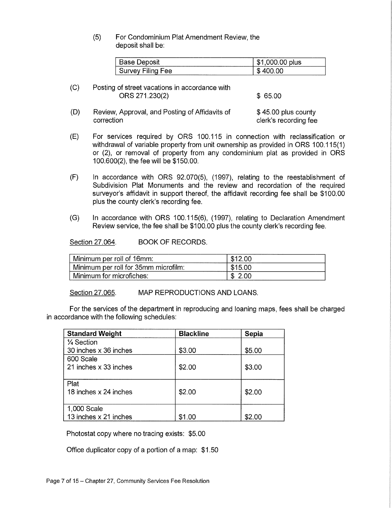# (5) For Condominium Plat Amendment Review, the deposit shall be:

| <b>Deposit</b><br>'ase .<br>້ | ----<br>00.00 plus<br>и<br>æ |
|-------------------------------|------------------------------|
| $-111$                        | ഹ                            |
| ∵Filing Fee                   | Æ                            |
| ™ev :                         |                              |

<sup>(</sup>C) Posting of street vacations in accordance with ORS 271.230(2) \$ 65.00

(D) Review, Approval, and Posting of Affidavits of  $$45.00$  plus county correction correction clerk's recording fee

- (E) For services required by ORS 100.115 in connection with reclassification or withdrawal of variable property from unit ownership as provided in ORS 100.115(1) or (2), or removal of property from any condominium plat as provided in ORS 100.600(2), the fee will be \$150.00.
- (F) In accordance with ORS 92.070(5), (1997), relating to the reestablishment of Subdivision Plat Monuments and the review and recordation of the required surveyor's affidavit in support thereof, the affidavit recording fee shall be \$100.00 plus the county clerk's recording fee.
- (G) In accordance with ORS 100.115(6), (1997), relating to Declaration Amendment Review service, the fee shall be \$100.00 plus the county clerk's recording fee.

Section 27.064. BOOK OF RECORDS.

| Minimum per roll of 16mm:            | \$12.00 |
|--------------------------------------|---------|
| Minimum per roll for 35mm microfilm: | \$15.00 |
| Minimum for microfiches:             | \$2.00  |

Section 27.065. MAP REPRODUCTIONS AND LOANS.

For the services of the department in reproducing and loaning maps, fees shall be charged in accordance with the following schedules:

| <b>Standard Weight</b> | <b>Blackline</b> | Sepia  |
|------------------------|------------------|--------|
| 1⁄4 Section            |                  |        |
| 30 inches x 36 inches  | \$3.00           | \$5.00 |
| 600 Scale              |                  |        |
| 21 inches x 33 inches  | \$2.00           | \$3.00 |
|                        |                  |        |
| Plat                   |                  |        |
| 18 inches x 24 inches  | \$2.00           | \$2.00 |
|                        |                  |        |
| 1,000 Scale            |                  |        |
| 13 inches x 21 inches  | \$1.00           | \$2.00 |

Photostat copy where no tracing exists: \$5.00

Office duplicator copy of a portion of a map: \$1.50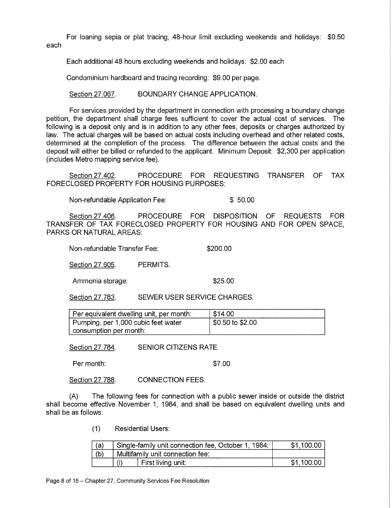For loaning sepia or plat tracing, 48-hour limit excluding weekends and holidays: \$0.50 each

Each additional 48 hours excluding weekends and holidays: \$2.00 each

Condominium hardboard and tracing recording: \$9.00 per page.

Section 27.067. BOUNDARY CHANGE APPLICATION.

For services provided by the department in connection with processing a boundary change petition, the department shall charge fees sufficient to cover the actual cost of services. The following is a deposit only and is in addition to any other fees, deposits or charges authorized by law. The actual charges will be based on actual costs including overhead and other related costs, determined at the completion of the process. The difference between the actual costs and the deposit will either be billed or refunded to the applicant. Minimum Deposit: \$2,300 per application (includes Metro mapping service fee).

Section 27.402. PROCEDURE FOR REQUESTING TRANSFER OF TAX FORECLOSED PROPERTY FOR HOUSING PURPOSES:

Non-refundable Application Fee: \$ 50.00

Section 27.406. PROCEDURE FOR DISPOSITION OF REQUESTS FOR TRANSFER OF TAX FORECLOSED PROPERTY FOR HOUSING AND FOR OPEN SPACE, PARKS OR NATURAL AREAS:

Non-refundable Transfer Fee: \$200.00

Section 27.605. PERMITS.

Ammonia storage:  $$25.00$ 

Section 27.783. SEWER USER SERVICE CHARGES.

| Per equivalent dwelling unit, per month: | $+$ \$14.00        |
|------------------------------------------|--------------------|
| Pumping, per 1,000 cubic feet water      | ∫ \$0.50 to \$2.00 |
| consumption per month:                   |                    |

Section 27.784. SENIOR CITIZENS RATE

Per month:  $$7.00$ 

Section 27.788. CONNECTION FEES.

(A) The following fees for connection with a public sewer inside or outside the district shall become effective November 1, 1984, and shall be based on equivalent dwelling units and shall be as follows:

(1) Residential Users:

| (a) | Single-family unit connection fee, October 1, 1984: | \$1.100.00 |  |  |
|-----|-----------------------------------------------------|------------|--|--|
| (b) | Multifamily unit connection fee:                    |            |  |  |
|     | First living unit:                                  | \$1,100.00 |  |  |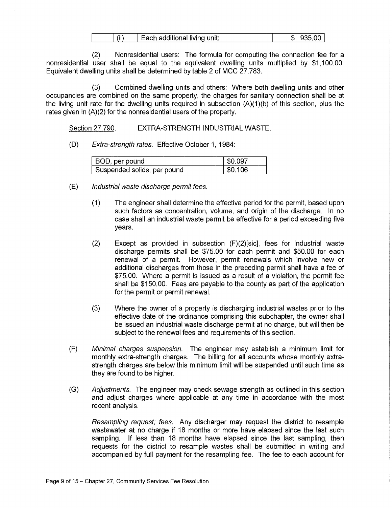| ,,,,<br>ach additional living unit:<br>Ш<br>__ | ω<br>,,,<br>м. |
|------------------------------------------------|----------------|
|------------------------------------------------|----------------|

(2) Nonresidential users: The formula for computing the connection fee for a nonresidential user shall be equal to the equivalent dwelling units multiplied by \$1,100.00. Equivalent dwelling units shall be determined by table 2 of MCC 27.783.

(3) Combined dwelling units and others: Where both dwelling units and other occupancies are combined on the same property, the charges for sanitary connection shall be at the living unit rate for the dwelling units required in subsection (A)(1)(b) of this section, plus the rates given in (A)(2) for the nonresidential users of the property.

Section 27.790. EXTRA-STRENGTH INDUSTRIAL WASTE.

(D) Extra-strength rates. Effective October 1, 1984:

| 3OD, per pound              |  |
|-----------------------------|--|
| Suspended solids, per pound |  |

- (E) Industrial waste discharge permit fees.
	- (1) The engineer shall determine the effective period for the permit, based upon such factors as concentration, volume, and origin of the discharge. In no case shall an industrial waste permit be effective for a period exceeding five years.
	- (2) Except as provided in subsection (F)(2)[sic], fees for industrial waste discharge permits shall be \$75.00 for each permit and \$50.00 for each renewal of a permit. However, permit renewals which involve new or additional discharges from those in the preceding permit shall have a fee of \$75.00. Where a permit is issued as a result of a violation, the permit fee shall be \$150.00. Fees are payable to the county as part of the application for the permit or permit renewal.
	- (3) Where the owner of a property is discharging industrial wastes prior to the effective date of the ordinance comprising this subchapter, the owner shall be issued an industrial waste discharge permit at no charge, but will then be subject to the renewal fees and requirements of this section.
- (F) Minimal charges suspension. The engineer may establish a minimum limit for monthly extra-strength charges. The billing for all accounts whose monthly extrastrength charges are below this minimum limit will be suspended until such time as they are found to be higher.
- (G) Adjustments. The engineer may check sewage strength as outlined in this section and adjust charges where applicable at any time in accordance with the most recent analysis.

Resampling request; fees. Any discharger may request the district to resample wastewater at no charge if 18 months or more have elapsed since the last such sampling. If less than 18 months have elapsed since the last sampling, then requests for the district to resample wastes shall be submitted in writing and accompanied by full payment for the resampling fee. The fee to each account for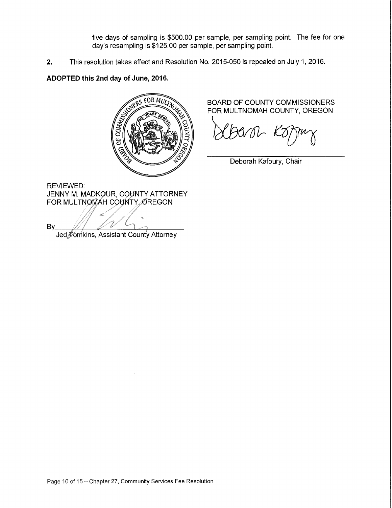five days of sampling is \$500.00 per sample, per sampling point. The fee for one day's resampling is \$125.00 per sample, per sampling point.

**2.** This resolution takes effect and Resolution No. 2015-050 is repealed on July 1, 2016.

# **ADOPTED this 2nd day of June, 2016.**



REVIEWED: JENNY M. MADKOUR, COUNTY ATTORNEY FOR MULTNOMAH COUNTY OREGON

By Jed, Fomkins, Assistant County Attorney

BOARD OF COUNTY COMMISSIONERS FOR MULTNOMAH COUNTY, OREGON

Deborah Kafoury, Chair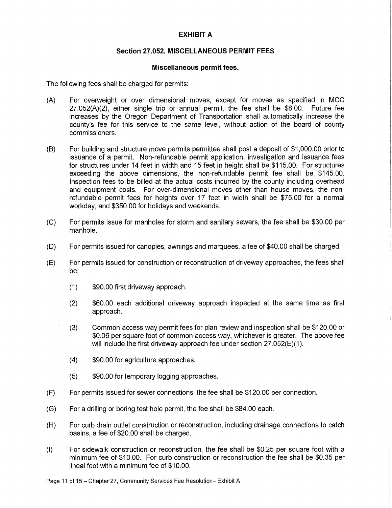# **EXHIBIT A**

# **Section 27.052. MISCELLANEOUS PERMIT FEES**

#### **Miscellaneous permit fees.**

The following fees shall be charged for permits:

- (A) For overweight or over dimensional moves, except for moves as specified in MCC 27.052(A)(2), either single trip or annual permit, the fee shall be \$8.00. Future fee increases by the Oregon Department of Transportation shall automatically increase the county's fee for this service to the same level, without action of the board of county commissioners.
- (B) For building and structure move permits permittee shall post a deposit of \$1,000.00 prior to issuance of a permit. Non-refundable permit application, investigation and issuance fees for structures under 14 feet in width and 15 feet in height shall be \$115.00. For structures exceeding the above dimensions, the non-refundable permit fee shall be \$145.00. Inspection fees to be billed at the actual costs incurred by the county including overhead and equipment costs. For over-dimensional moves other than house moves, the nonrefundable permit fees for heights over 17 feet in width shall be \$75.00 for a normal workday, and \$350.00 for holidays and weekends.
- (C) For permits issue for manholes for storm and sanitary sewers, the fee shall be \$30.00 per manhole.
- **(D)** For permits issued for canopies, awnings and marquees, a fee of \$40.00 shall be charged.
- (E) For permits issued for construction or reconstruction of driveway approaches, the fees shall be:
	- (1) \$90.00 first driveway approach.
	- (2) \$60.00 each additional driveway approach inspected at the same time as first approach.
	- (3) Common access way permit fees for plan review and inspection shall be \$120.00 or \$0.06 per square foot of common access way, whichever is greater. The above fee will include the first driveway approach fee under section 27.052(E)(1).
	- (4) \$90.00 for agriculture approaches.
	- (5) \$90.00 for temporary logging approaches.
- (F) For permits issued for sewer connections, the fee shall be \$120.00 per connection.
- (G) For a drilling or boring test hole permit, the fee shall be \$84.00 each.
- **(H)** For curb drain outlet construction or reconstruction, including drainage connections to catch basins, a fee of \$20.00 shall be charged.
- (I) For sidewalk construction or reconstruction, the fee shall be \$0.25 per square foot with a minimum fee of \$10.00. For curb construction or reconstruction the fee shall be \$0.35 per lineal foot with a minimum fee of \$10.00.

Page 11 of 15 — Chapter 27, Community Services Fee Resolution— Exhibit A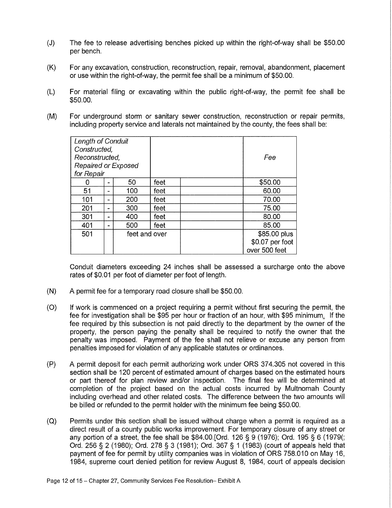- (J) The fee to release advertising benches picked up within the right-of-way shall be \$50.00 per bench.
- (K) For any excavation, construction, reconstruction, repair, removal, abandonment, placement or use within the right-of-way, the permit fee shall be a minimum of \$50.00.
- (L) For material filing or excavating within the public right-of-way, the permit fee shall be \$50.00.
- (M) For underground storm or sanitary sewer construction, reconstruction or repair permits, including property service and laterals not maintained by the county, the fees shall be:

| Length of Conduit<br>Constructed, |                |               |      |                 |
|-----------------------------------|----------------|---------------|------|-----------------|
| Reconstructed,                    |                |               | Fee  |                 |
| Repaired or Exposed               |                |               |      |                 |
| for Repair                        |                |               |      |                 |
|                                   | $\blacksquare$ | 50            | feet | \$50.00         |
| 51                                | -              | 100           | feet | 60.00           |
| 101                               | -              | 200           | feet | 70.00           |
| 201                               | -              | 300           | feet | 75.00           |
| 301                               | m.             | 400           | feet | 80.00           |
| 401                               |                | 500           | feet | 85.00           |
| 501                               |                | feet and over |      | \$85.00 plus    |
|                                   |                |               |      | \$0.07 per foot |
|                                   |                |               |      | over 500 feet   |

Conduit diameters exceeding 24 inches shall be assessed a surcharge onto the above rates of \$0.01 per foot of diameter per foot of length.

- (N) A permit fee for a temporary road closure shall be \$50.00.
- (0) If work is commenced on a project requiring a permit without first securing the permit, the fee for investigation shall be \$95 per hour or fraction of an hour, with \$95 minimum, If the fee required by this subsection is not paid directly to the department by the owner of the property, the person paying the penalty shall be required to notify the owner that the penalty was imposed. Payment of the fee shall not relieve or excuse any person from penalties imposed for violation of any applicable statutes or ordinances.
- (P) A permit deposit for each permit authorizing work under ORS 374.305 not covered in this section shall be 120 percent of estimated amount of charges based on the estimated hours or part thereof for plan review and/or inspection. The final fee will be determined at completion of the project based on the actual costs incurred by Multnomah County including overhead and other related costs. The difference between the two amounts will be billed or refunded to the permit holder with the minimum fee being \$50.00.
- (Q) Permits under this section shall be issued without charge when a permit is required as a direct result of a county public works improvement. For temporary closure of any street or any portion of a street, the fee shall be \$84.00.[Ord. 126 § 9 (1976); Ord. 195 § 6 (1979(; Ord. 256 § 2 (1980); Ord. 278 § 3 (1981); Ord. 367 § 1 (1983) (court of appeals held that payment of fee for permit by utility companies was in violation of ORS 758.010 on May 16, 1984, supreme court denied petition for review August 8, 1984, court of appeals decision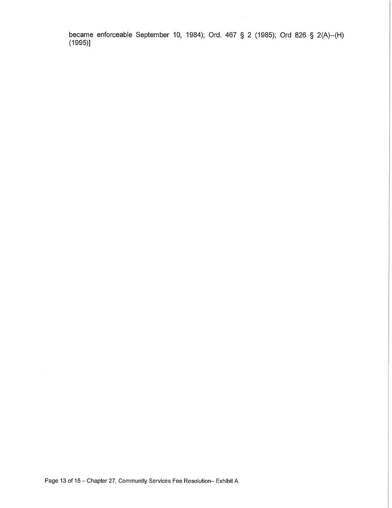became enforceable September 10, 1984); Ord. 467 § 2 (1985); Ord 826 § 2(A)--(H) (1995)]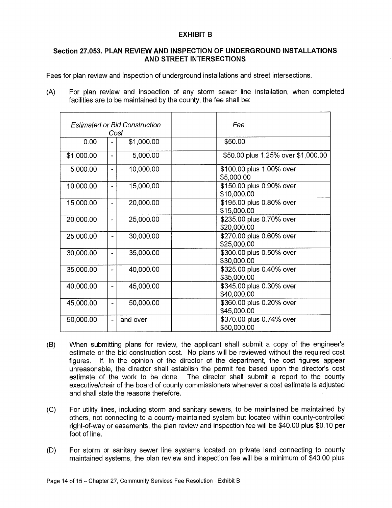# **EXHIBIT B**

# **Section 27.053. PLAN REVIEW AND INSPECTION OF UNDERGROUND INSTALLATIONS AND STREET INTERSECTIONS**

Fees for plan review and inspection of underground installations and street intersections.

(A) For plan review and inspection of any storm sewer line installation, when completed facilities are to be maintained by the county, the fee shall be:

| <b>Estimated or Bid Construction</b><br>Cost |                       |            | Fee                                     |
|----------------------------------------------|-----------------------|------------|-----------------------------------------|
| 0.00                                         |                       | \$1,000.00 | \$50.00                                 |
| \$1,000.00                                   | $\tilde{\phantom{a}}$ | 5,000.00   | \$50.00 plus 1.25% over \$1,000.00      |
| 5,000.00                                     | -                     | 10,000.00  | \$100.00 plus 1.00% over<br>\$5,000.00  |
| 10,000.00                                    | $\overline{a}$        | 15,000.00  | \$150.00 plus 0.90% over<br>\$10,000.00 |
| 15,000.00                                    | ۰                     | 20,000.00  | \$195.00 plus 0.80% over<br>\$15,000.00 |
| 20,000.00                                    | $\blacksquare$        | 25,000.00  | \$235.00 plus 0.70% over<br>\$20,000.00 |
| 25,000.00                                    | $\overline{a}$        | 30,000.00  | \$270.00 plus 0.60% over<br>\$25,000.00 |
| 30,000.00                                    | $\overline{a}$        | 35,000.00  | \$300.00 plus 0.50% over<br>\$30,000.00 |
| 35,000.00                                    |                       | 40,000.00  | \$325.00 plus 0.40% over<br>\$35,000.00 |
| 40,000.00                                    |                       | 45,000.00  | \$345.00 plus 0.30% over<br>\$40,000.00 |
| 45,000.00                                    | -                     | 50,000.00  | \$360.00 plus 0.20% over<br>\$45,000.00 |
| 50,000.00                                    | $\overline{a}$        | and over   | \$370.00 plus 0.74% over<br>\$50,000.00 |

- (B) When submitting plans for review, the applicant shall submit a copy of the engineer's estimate or the bid construction cost. No plans will be reviewed without the required cost figures. If, in the opinion of the director of the department, the cost figures appear unreasonable, the director shall establish the permit fee based upon the director's cost estimate of the work to be done. The director shall submit a report to the county executive/chair of the board of county commissioners whenever a cost estimate is adjusted and shall state the reasons therefore.
- (C) For utility lines, including storm and sanitary sewers, to be maintained be maintained by others, not connecting to a county-maintained system but located within county-controlled right-of-way or easements, the plan review and inspection fee will be \$40.00 plus \$0.10 per foot of line.
- (D) For storm or sanitary sewer line systems located on private land connecting to county maintained systems, the plan review and inspection fee will be a minimum of \$40.00 plus